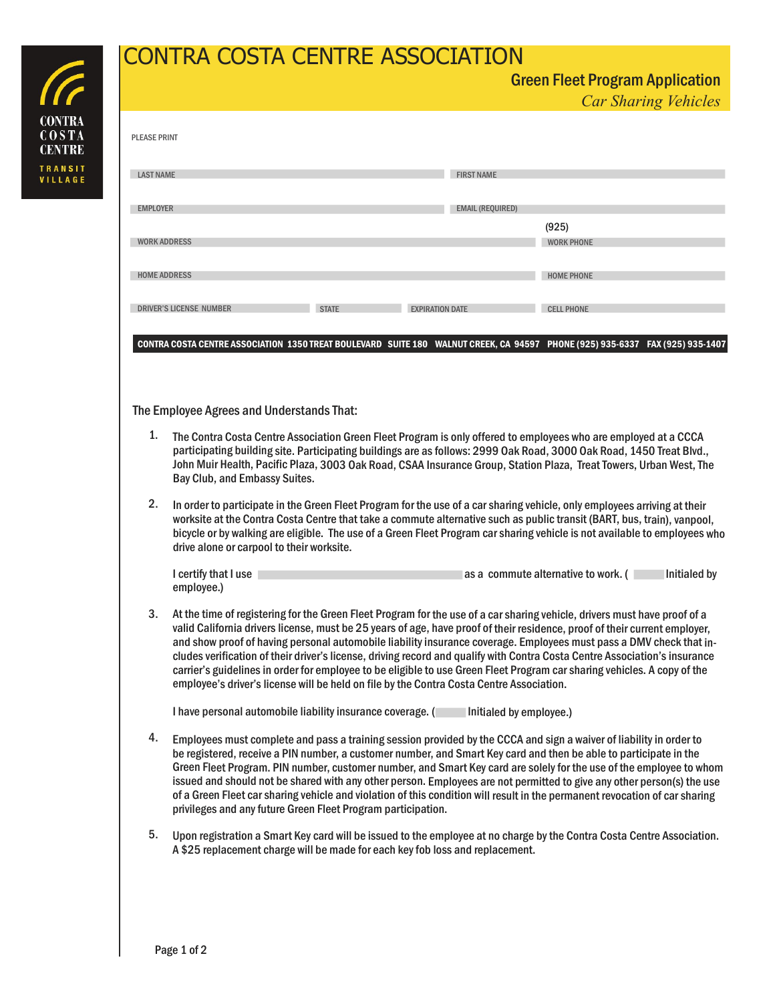## CONTRA COSTA CENTRE ASSOCIATION

| <b>PLEASE PRINT</b> |                                                                                                                                                                                                                                                                                                                                                                                                                                 |              |                        |                         |                            |  |  |
|---------------------|---------------------------------------------------------------------------------------------------------------------------------------------------------------------------------------------------------------------------------------------------------------------------------------------------------------------------------------------------------------------------------------------------------------------------------|--------------|------------------------|-------------------------|----------------------------|--|--|
| <b>LAST NAME</b>    |                                                                                                                                                                                                                                                                                                                                                                                                                                 |              |                        | <b>FIRST NAME</b>       |                            |  |  |
| <b>EMPLOYER</b>     |                                                                                                                                                                                                                                                                                                                                                                                                                                 |              |                        | <b>EMAIL (REQUIRED)</b> |                            |  |  |
| <b>WORK ADDRESS</b> |                                                                                                                                                                                                                                                                                                                                                                                                                                 |              |                        |                         | (925)<br><b>WORK PHONE</b> |  |  |
| <b>HOME ADDRESS</b> |                                                                                                                                                                                                                                                                                                                                                                                                                                 |              |                        |                         | <b>HOME PHONE</b>          |  |  |
|                     | <b>DRIVER'S LICENSE NUMBER</b>                                                                                                                                                                                                                                                                                                                                                                                                  | <b>STATE</b> | <b>EXPIRATION DATE</b> |                         | <b>CELL PHONE</b>          |  |  |
|                     | The Employee Agrees and Understands That:                                                                                                                                                                                                                                                                                                                                                                                       |              |                        |                         |                            |  |  |
| 1.                  | The Contra Costa Centre Association Green Fleet Program is only offered to employees who are employed at a CCCA<br>participating building site. Participating buildings are as follows: 2999 Oak Road, 3000 Oak Road, 1450 Treat Blvd.,<br>John Muir Health, Pacific Plaza, 3003 Oak Road, CSAA Insurance Group, Station Plaza, Treat Towers, Urban West, The<br>Bay Club, and Embassy Suites.                                  |              |                        |                         |                            |  |  |
| 2.                  | In order to participate in the Green Fleet Program for the use of a car sharing vehicle, only employees arriving at their<br>worksite at the Contra Costa Centre that take a commute alternative such as public transit (BART, bus, train), vanpool,<br>bicycle or by walking are eligible. The use of a Green Fleet Program car sharing vehicle is not available to employees who<br>drive alone or carpool to their worksite. |              |                        |                         |                            |  |  |

| drive alone or carpool to their worksite. |                                                      |  |  |  |  |  |  |
|-------------------------------------------|------------------------------------------------------|--|--|--|--|--|--|
| I certify that I use                      | Initialed by<br>las a commute alternative to work. ( |  |  |  |  |  |  |
| employee.)                                |                                                      |  |  |  |  |  |  |

At the time of registering for the Green Fleet Program for the use of <sup>a</sup> carsharing vehicle, drivers must have proof of <sup>a</sup> valid California drivers license, must be 25 years of age, have proof of their residence, proof of their current employer, and show proof of having personal automobile liability insurance coverage. Employees must pass a DMV check thatin cludes verification of their driver'slicense, driving record and qualify with Contra Costa Centre Association'sinsurance carrier's guidelines in order for employee to be eligible to use Green Fleet Program carsharing vehicles. A copy of the employee's driver's license will be held on file by the Contra Costa Centre Association. 3.

I have personal automobile liability insurance coverage. ( Initialed by employee.)

- Employees must complete and pass a training session provided by the CCCA and sign a waiver of liability in order to be registered, receive a PIN number, a customer number, and Smart Key card and then be able to participate in the Green Fleet Program. PIN number, customer number, and Smart Key card are solely for the use of the employee to whom issued and should not be shared with any other person. Employees are not permitted to give any other person(s) the use of a Green Fleet car sharing vehicle and violation of this condition will result in the permanent revocation of car sharing<br>privileges and any future Green Fleet Program participation. 4.
- privileges and any future Green Fleet Program participation.<br>5. Upon registration a Smart Key card will be issued to the employee at no charge by the Contra Costa Centre Association. A \$25 replacement charge will be made for each key fob loss and replacement.